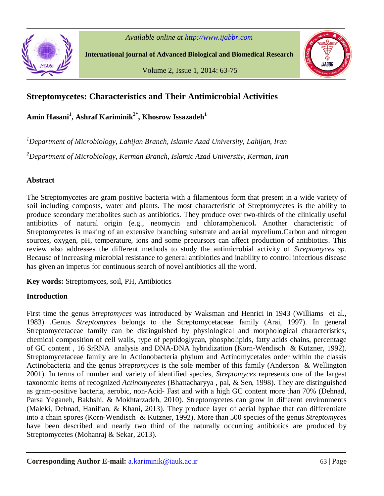*Available online at http://www.ijabbr.com*



**International journal of Advanced Biological and Biomedical Research**

Volume 2, Issue 1, 2014: 63-75



# **Streptomycetes: Characteristics and Their Antimicrobial Activities**

**Amin Hasani<sup>1</sup> , Ashraf Kariminik2\* , Khosrow Issazadeh<sup>1</sup>**

*<sup>1</sup>Department of Microbiology, Lahijan Branch, Islamic Azad University, Lahijan, Iran <sup>2</sup>Department of Microbiology, Kerman Branch, Islamic Azad University, Kerman, Iran*

# **Abstract**

The Streptomycetes are gram positive bacteria with a filamentous form that present in a wide variety of soil including composts, water and plants. The most characteristic of Streptomycetes is the ability to produce secondary metabolites such as antibiotics. They produce over two-thirds of the clinically useful antibiotics of natural origin (e.g., neomycin and chloramphenicol**.** Another characteristic of Streptomycetes is making of an extensive branching substrate and aerial mycelium.Carbon and nitrogen sources, oxygen, pH, temperature, ions and some precursors can affect production of antibiotics. This review also addresses the different methods to study the antimicrobial activity of *Streptomyces sp.*  Because of increasing microbial resistance to general antibiotics and inability to control infectious disease has given an impetus for continuous search of novel antibiotics all the word.

**Key words:** Streptomyces, soil, PH, Antibiotics

## **Introduction**

First time the genus *Streptomyces* was introduced by Waksman and Henrici in 1943 (Williams et al., 1983) .Genus *Streptomyces* belongs to the Streptomycetaceae family (Arai, 1997). In general Streptomycetaceae family can be distinguished by physiological and morphological characteristics, chemical composition of cell walls, type of peptidoglycan, phospholipids, fatty acids chains, percentage of GC content , 16 SrRNA analysis and DNA-DNA hybridization (Korn-Wendisch & Kutzner, 1992). Streptomycetaceae family are in Actionobacteria phylum and Actinomycetales order within the classis Actinobacteria and the genus *Streptomyces* is the sole member of this family (Anderson & Wellington 2001). In terms of number and variety of identified species, *Streptomyces* represents one of the largest taxonomic items of recognized *Actinomycetes* (Bhattacharyya , pal, & Sen, 1998). They are distinguished as gram-positive bacteria, aerobic, non-Acid- Fast and with a high GC content more than 70% (Dehnad, Parsa Yeganeh, Bakhshi, & Mokhtarzadeh, 2010). Streptomycetes can grow in different environments (Maleki, Dehnad, Hanifian, & Khani, 2013). They produce layer of aerial hyphae that can differentiate into a chain spores (Korn-Wendisch & Kutzner, 1992). More than 500 species of the genus *Streptomyces* have been described and nearly two third of the naturally occurring antibiotics are produced by Streptomycetes (Mohanraj & Sekar, 2013).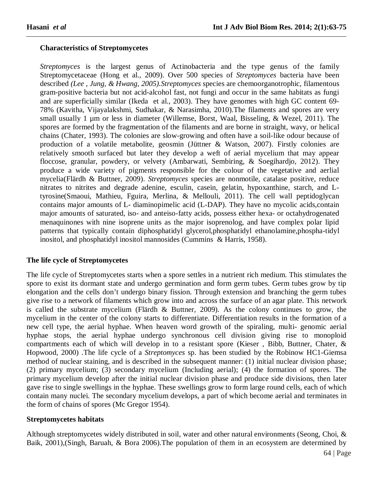## **Characteristics of Streptomycetes**

*Streptomyces* is the largest genus of Actinobacteria and the type genus of the family Streptomycetaceae (Hong et al., 2009). Over 500 species of *Streptomyces* bacteria have been described *(Lee , Jung, & Hwang, 2005).Streptomyces* species are chemoorganotrophic, filamentous gram-positive bacteria but not acid-alcohol fast, not fungi and occur in the same habitats as fungi and are superficially similar (Ikeda et al., 2003). They have genomes with high GC content 69- 78% (Kavitha, Vijayalakshmi, Sudhakar, & Narasimha, 2010).The filaments and spores are very small usually 1 µm or less in diameter (Willemse, Borst, Waal, Bisseling, & Wezel, 2011). The spores are formed by the fragmentation of the filaments and are borne in straight, wavy, or helical chains (Chater, 1993). The colonies are slow-growing and often have a soil-like odour because of production of a volatile metabolite, geosmin (Jüttner & Watson, 2007). Firstly colonies are relatively smooth surfaced but later they develop a weft of aerial mycelium that may appear floccose, granular, powdery, or velvety (Ambarwati, Sembiring, & Soegihardjo, 2012). They produce a wide variety of pigments responsible for the colour of the vegetative and aerlial mycelia(Flärdh & Buttner, 2009). *Streptomyces* species are nonmotile, catalase positive, reduce nitrates to nitrites and degrade adenine, esculin, casein, gelatin, hypoxanthine, starch, and Ltyrosine(Smaoui, Mathieu, Fguira, Merlina, & Mellouli, 2011). The cell wall peptidoglycan contains major amounts of L- diaminopimelic acid (L-DAP). They have no mycolic acids,contain major amounts of saturated, iso- and anteiso-fatty acids, possess either hexa- or octahydrogenated menaquinones with nine isoprene units as the major isoprenolog, and have complex polar lipid patterns that typically contain diphosphatidyl glycerol,phosphatidyl ethanolamine,phospha-tidyl inositol, and phosphatidyl inositol mannosides (Cummins & Harris, 1958).

#### **The life cycle of Streptomycetes**

The life cycle of Streptomycetes starts when a spore settles in a nutrient rich medium. This stimulates the spore to exist its dormant state and undergo germination and form germ tubes. Germ tubes grow by tip elongation and the cells don't undergo binary fission. Through extension and branching the germ tubes give rise to a network of filaments which grow into and across the surface of an agar plate. This network is called the substrate mycelium (Flärdh & Buttner, 2009). As the colony continues to grow, the mycelium in the center of the colony starts to differentiate. Differentiation results in the formation of a new cell type, the aerial hyphae. When heaven word growth of the spiraling, multi- genomic aerial hyphae stops, the aerial hyphae undergo synchronous cell division giving rise to monoploid compartments each of which will develop in to a resistant spore (Kieser , Bibb, Buttner, Chater, & Hopwood, 2000) .The life cycle of a *Streptomyces* sp. has been studied by the Robinow HC1-Giemsa method of nuclear staining, and is described in the subsequent manner: (1) initial nuclear division phase; (2) primary mycelium; (3) secondary mycelium (Including aerial); (4) the formation of spores. The primary mycelium develop after the initial nuclear division phase and produce side divisions, then later gave rise to single swellings in the hyphae. These swellings grow to form large round cells, each of which contain many nuclei. The secondary mycelium develops, a part of which become aerial and terminates in the form of chains of spores (Mc Gregor 1954).

#### **Streptomycetes habitats**

Although streptomycetes widely distributed in soil, water and other natural environments (Seong, Choi, & Baik, 2001),(Singh, Baruah, & Bora 2006).The population of them in an ecosystem are determined by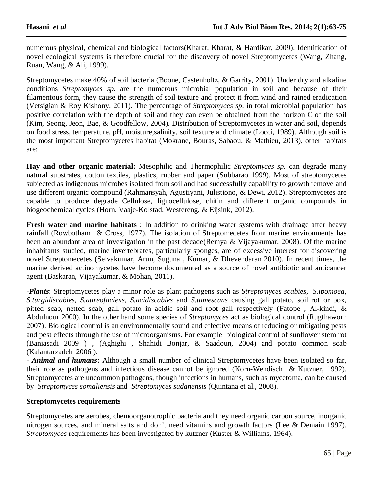numerous physical, chemical and biological factors(Kharat, Kharat, & Hardikar, 2009). Identification of novel ecological systems is therefore crucial for the discovery of novel Streptomycetes (Wang, Zhang, Ruan, Wang, & Ali, 1999).

Streptomycetes make 40% of soil bacteria (Boone, Castenholtz, & Garrity, 2001). Under dry and alkaline conditions *Streptomyces sp.* are the numerous microbial population in soil and because of their filamentous form, they cause the strength of soil texture and protect it from wind and rained eradication (Vetsigian & Roy Kishony, 2011). The percentage of *Streptomyces sp*. in total microbial population has positive correlation with the depth of soil and they can even be obtained from the horizon C of the soil (Kim, Seong, Jeon, Bae, & Goodfellow, 2004). Distribution of Streptomycetes in water and soil, depends on food stress, temperature, pH, moisture,salinity, soil texture and climate (Locci, 1989). Although soil is the most important Streptomycetes habitat (Mokrane, Bouras, Sabaou, & Mathieu, 2013), other habitats are:

**Hay and other organic material:** Mesophilic and Thermophilic *Streptomyces sp.* can degrade many natural substrates, cotton textiles, plastics, rubber and paper (Subbarao 1999). Most of streptomycetes subjected as indigenous microbes isolated from soil and had successfully capability to growth remove and use different organic compound (Rahmansyah, Agustiyani, Julistiono, & Dewi, 2012). Streptomycetes are capable to produce degrade Cellulose, lignocellulose, chitin and different organic compounds in biogeochemical cycles (Horn, Vaaje-Kolstad, Westereng, & Eijsink, 2012).

**Fresh water and marine habitats** : In addition to drinking water systems with drainage after heavy rainfall (Rowbotham & Cross, 1977). The isolation of Streptomecetes from marine environments has been an abundant area of investigation in the past decade(Remya & Vijayakumar, 2008). Of the marine inhabitants studied, marine invertebrates, particularly sponges, are of excessive interest for discovering novel Streptomecetes (Selvakumar, Arun, Suguna , Kumar, & Dhevendaran 2010). In recent times, the marine derived actinomycetes have become documented as a source of novel antibiotic and anticancer agent (Baskaran, Vijayakumar, & Mohan, 2011).

-*Plants*: Streptomycetes play a minor role as plant pathogens such as *Streptomyces scabies, S.ipomoea, S.turgidiscabies, S.aureofaciens, S.acidiscabies* and *S.tumescans* causing gall potato, soil rot or pox, pitted scab, netted scab, gall potato in acidic soil and root gall respectively (Fatope , Al-kindi, & Abdulnour 2000). In the other hand some species of *Streptomyces* act as biological control (Rugthaworn 2007). Biological control is an environmentally sound and effective means of reducing or mitigating pests and pest effects through the use of microorganisms. For example biological control of sunflower stem rot (Baniasadi 2009 ) , (Aghighi , Shahidi Bonjar, & Saadoun, 2004) and potato common scab (Kalantarzadeh 2006 ).

- *Animal and humans***:** Although a small number of clinical Streptomycetes have been isolated so far, their role as pathogens and infectious disease cannot be ignored (Korn-Wendisch & Kutzner, 1992). Streptomycetes are uncommon pathogens, though infections in humans, such as mycetoma, can be caused by *Streptomyces somaliensis* and *Streptomyces sudanensis* (Quintana et al., 2008).

#### **Streptomycetes requirements**

Streptomycetes are aerobes, chemoorganotrophic bacteria and they need organic carbon source, inorganic nitrogen sources, and mineral salts and don't need vitamins and growth factors (Lee & Demain 1997). *Streptomyces* requirements has been investigated by kutzner (Kuster & Williams, 1964).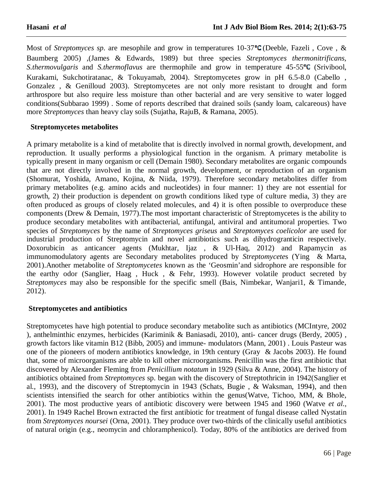Most of *Streptomyces sp*. are mesophile and grow in temperatures 10-37°C (Deeble, Fazeli, Cove, & Baumberg 2005) ,(James & Edwards, 1989) but three species *Streptomyces thermonitrificans, S.thermovulgaris* and *S.thermoflavus* are thermophile and grow in temperature 45-55<sup>°</sup>C (Srivibool, Kurakami, Sukchotiratanac, & Tokuyamab, 2004). Streptomycetes grow in pH 6.5-8.0 (Cabello , Gonzalez , & Genilloud 2003). Streptomycetes are not only more resistant to drought and form arthrospore but also require less moisture than other bacterial and are very sensitive to water logged conditions(Subbarao 1999) . Some of reports described that drained soils (sandy loam, calcareous) have more *Streptomyces* than heavy clay soils (Sujatha, RajuB, & Ramana, 2005).

#### **Streptomycetes metabolites**

A primary metabolite is a kind of metabolite that is directly involved in normal growth, development, and reproduction. It usually performs a physiological function in the organism. A primary metabolite is typically present in many organism or cell (Demain 1980). Secondary metabolites are organic compounds that are not directly involved in the normal growth, development, or reproduction of an organism (Shomurat, Yoshida, Amano, Kojina, & Niida, 1979). Therefore secondary metabolites differ from primary metabolites (e.g. amino acids and nucleotides) in four manner: 1) they are not essential for growth, 2) their production is dependent on growth conditions liked type of culture media, 3) they are often produced as groups of closely related molecules, and 4) it is often possible to overproduce these components (Drew & Demain, 1977).The most important characteristic of Streptomycetes is the ability to produce secondary metabolites with antibacterial, antifungal, antiviral and antitumoral properties. Two species of *Streptomyces* by the name of *Streptomyces griseus* and *Streptomyces coelicolor* are used for industrial production of Streptomycin and novel antibiotics such as dihydrogranticin respectively. Doxorubicin as anticancer agents (Mukhtar, Ijaz , & Ul-Haq, 2012) and Rapamycin as immunomodulatory agents are Secondary metabolites produced by *Streptomycete*s (Ying & Marta, 2001).Another metabolite of *Streptomycetes* known as the 'Geosmin'and sidrophore are responsible for the earthy odor (Sanglier, Haag , Huck , & Fehr, 1993). However volatile product secreted by *Streptomyces* may also be responsible for the specific smell (Bais, Nimbekar, Wanjari1, & Timande, 2012).

#### **Streptomycetes and antibiotics**

Streptomycetes have high potential to produce secondary metabolite such as antibiotics (MCIntyre, 2002 ), anthelminthic enzymes, herbicides (Kariminik & Baniasadi, 2010), anti- cancer drugs (Berdy, 2005) , growth factors like vitamin B12 (Bibb, 2005) and immune- modulators (Mann, 2001) . Louis Pasteur was one of the pioneers of modern antibiotics knowledge, in 19th century (Gray & Jacobs 2003). He found that, some of microorganisms are able to kill other microorganisms. Penicillin was the first antibiotic that discovered by Alexander Fleming from *Penicillium notatum* in 1929 (Silva & Anne, 2004). The history of antibiotics obtained from *Streptomyces* sp. began with the discovery of Streptothricin in 1942(Sanglier et al., 1993), and the discovery of Streptomycin in 1943 (Schats, Bugie , & Waksman, 1994), and then scientists intensified the search for other antibiotics within the genus(Watve, Tichoo, MM, & Bhole, 2001). The most productive years of antibiotic discovery were between 1945 and 1960 (Watve *et al.,*  2001). In 1949 Rachel Brown extracted the first antibiotic for treatment of fungal disease called Nystatin from *Streptomyces noursei* (Orna, 2001). They produce over two-thirds of the clinically useful antibiotics of natural origin (e.g., neomycin and chloramphenicol). Today, 80% of the antibiotics are derived from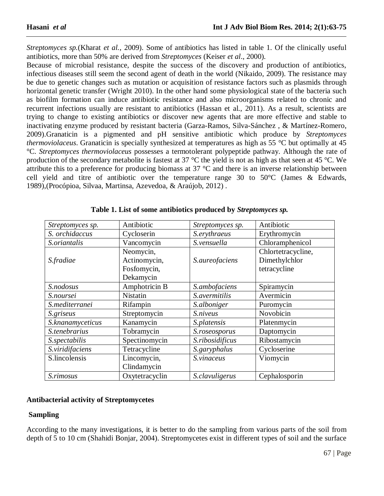*Streptomyces sp.*(Kharat *et al.*, 2009). Some of antibiotics has listed in table 1. Of the clinically useful antibiotics, more than 50% are derived from *Streptomyces* (Keiser *et al*., 2000).

Because of microbial resistance, despite the success of the discovery and production of antibiotics, infectious diseases still seem the second agent of death in the world (Nikaido, 2009). The resistance may be due to genetic changes such as mutation or acquisition of resistance factors such as plasmids through horizontal genetic transfer (Wright 2010). In the other hand some physiological state of the bacteria such as biofilm formation can induce antibiotic resistance and also microorganisms related to chronic and recurrent infections usually are resistant to antibiotics (Hassan et al., 2011). As a result, scientists are trying to change to existing antibiotics or discover new agents that are more effective and stable to inactivating enzyme produced by resistant bacteria (Garza-Ramos, Silva-Sánchez , & Martínez-Romero, 2009).Granaticin is a pigmented and pH sensitive antibiotic which produce by *Streptomyces thermoviolaceus*. Granaticin is specially synthesized at temperatures as high as 55 °C but optimally at 45 °C. *Streptomyces thermoviolaceus* possesses a termotolerant polypeptide pathway. Although the rate of production of the secondary metabolite is fastest at 37 °C the yield is not as high as that seen at 45 °C. We attribute this to a preference for producing biomass at 37 °C and there is an inverse relationship between cell yield and titre of antibiotic over the temperature range 30 to 50°C (James & Edwards, 1989),(Procópioa, Silvaa, Martinsa, Azevedoa, & Araújob, 2012) .

| Streptomyces sp. | Antibiotic      | Streptomyces sp. | Antibiotic         |
|------------------|-----------------|------------------|--------------------|
| S. orchidaccus   | Cycloserin      | S.erythraeus     | Erythromycin       |
| S.oriantalis     | Vancomycin      | S.vensuella      | Chloramphenicol    |
|                  | Neomycin,       |                  | Chlortetracycline, |
| <i>S.fradiae</i> | Actinomycin,    | S.aureofaciens   | Dimethylchlor      |
|                  | Fosfomycin,     |                  | tetracycline       |
|                  | Dekamycin       |                  |                    |
| S.nodosus        | Amphotricin B   | S.ambofaciens    | Spiramycin         |
| S.noursei        | <b>Nistatin</b> | S.avermitilis    | Avermicin          |
| S.mediterranei   | Rifampin        | S.alboniger      | Puromycin          |
| S.griseus        | Streptomycin    | S.niveus         | Novobicin          |
| S.knanamyceticus | Kanamycin       | S.platensis      | Platenmycin        |
| S.tenebrarius    | Tobramycin      | S.roseosporus    | Daptomycin         |
| S.spectabilis    | Spectinomycin   | S.ribosidificus  | Ribostamycin       |
| S.viridifaciens  | Tetracycline    | S.garyphalus     | Cycloserine        |
| S.lincolensis    | Lincomycin,     | S.vinaceus       | Viomycin           |
|                  | Clindamycin     |                  |                    |
| S.rimosus        | Oxytetracyclin  | S.clavuligerus   | Cephalosporin      |

**Table 1. List of some antibiotics produced by** *Streptomyces sp.*

#### **Antibacterial activity of Streptomycetes**

## **Sampling**

According to the many investigations, it is better to do the sampling from various parts of the soil from depth of 5 to 10 cm (Shahidi Bonjar, 2004). Streptomycetes exist in different types of soil and the surface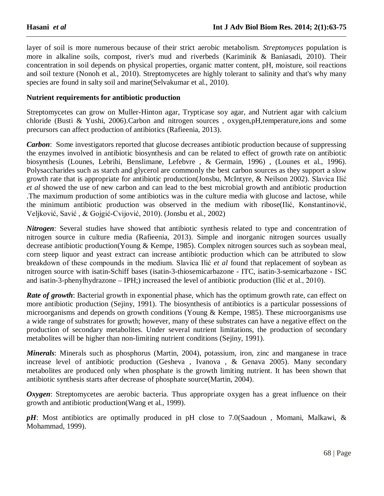layer of soil is more numerous because of their strict aerobic metabolism. *Streptomyces* population is more in alkaline soils, compost, river's mud and riverbeds (Kariminik & Baniasadi, 2010). Their concentration in soil depends on physical properties, organic matter content, pH, moisture, soil reactions and soil texture (Nonoh et al., 2010). Streptomycetes are highly tolerant to salinity and that's why many species are found in salty soil and marine(Selvakumar et al., 2010).

#### **Nutrient requirements for antibiotic production**

Streptomycetes can grow on Muller-Hinton agar, Trypticase soy agar, and Nutrient agar with calcium chloride (Busti & Yushi, 2006).Carbon and nitrogen sources , oxygen,pH,temperature,ions and some precursors can affect production of antibiotics (Rafieenia, 2013).

*Carbon*: Some investigators reported that glucose decreases antibiotic production because of suppressing the enzymes involved in antibiotic biosynthesis and can be related to effect of growth rate on antibiotic biosynthesis (Lounes, Lebrihi, Benslimane, Lefebvre , & Germain, 1996) , (Lounes et al., 1996). Polysaccharides such as starch and glycerol are commonly the best carbon sources as they support a slow growth rate that is appropriate for antibiotic production(Jonsbu, McIntyre, & Neilson 2002). Slavica Ilić *et al* showed the use of new carbon and can lead to the best microbial growth and antibiotic production .The maximum production of some antibiotics was in the culture media with glucose and lactose, while the minimum antibiotic production was observed in the medium with ribose(Ilić, Konstantinović, Veljković, Savić , & Gojgić-Cvijović, 2010). (Jonsbu et al., 2002)

*Nitrogen*: Several studies have showed that antibiotic synthesis related to type and concentration of nitrogen source in culture media (Rafieenia, 2013). Simple and inorganic nitrogen sources usually decrease antibiotic production(Young & Kempe, 1985). Complex nitrogen sources such as soybean meal, corn steep liquor and yeast extract can increase antibiotic production which can be attributed to slow breakdown of these compounds in the medium. Slavica Ilić *et al* found that replacement of soybean as nitrogen source with isatin-Schiff bases (isatin-3-thiosemicarbazone - ITC, isatin-3-semicarbazone - ISC and isatin-3-phenylhydrazone – IPH;) increased the level of antibiotic production (Ilić et al., 2010).

*Rate of growth*: Bacterial growth in exponential phase, which has the optimum growth rate, can effect on more antibiotic production (Sejiny, 1991). The biosynthesis of antibiotics is a particular possessions of microorganisms and depends on growth conditions (Young & Kempe, 1985). These microorganisms use a wide range of substrates for growth; however, many of these substrates can have a negative effect on the production of secondary metabolites. Under several nutrient limitations, the production of secondary metabolites will be higher than non-limiting nutrient conditions (Sejiny, 1991).

*Minerals*: Minerals such as phosphorus (Martin, 2004), potassium, iron, zinc and manganese in trace increase level of antibiotic production (Gesheva , Ivanova , & Genava 2005). Many secondary metabolites are produced only when phosphate is the growth limiting nutrient. It has been shown that antibiotic synthesis starts after decrease of phosphate source(Martin, 2004).

*Oxygen*: Streptomycetes are aerobic bacteria. Thus appropriate oxygen has a great influence on their growth and antibiotic production(Wang et al., 1999).

*pH*: Most antibiotics are optimally produced in pH close to 7.0(Saadoun, Momani, Malkawi, & Mohammad, 1999).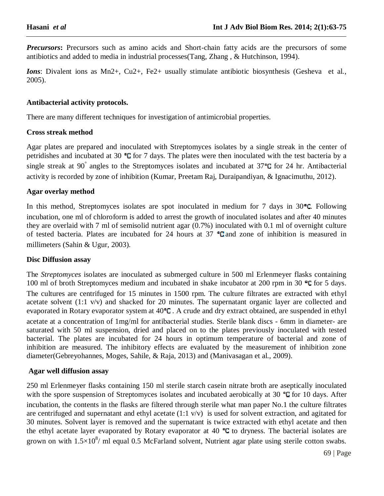*Precursors*: Precursors such as amino acids and Short-chain fatty acids are the precursors of some antibiotics and added to media in industrial processes(Tang, Zhang , & Hutchinson, 1994).

*Ions*: Divalent ions as Mn2+, Cu2+, Fe2+ usually stimulate antibiotic biosynthesis (Gesheva et al., 2005).

#### **Antibacterial activity protocols.**

There are many different techniques for investigation of antimicrobial properties.

#### **Cross streak method**

Agar plates are prepared and inoculated with Streptomyces isolates by a single streak in the center of petridishes and incubated at 30  $\textdegree C$  for 7 days. The plates were then inoculated with the test bacteria by a single streak at 90 $\degree$  angles to the Streptomyces isolates and incubated at 37 $\degree$ C for 24 hr. Antibacterial activity is recorded by zone of inhibition (Kumar, Preetam Raj, Duraipandiyan, & Ignacimuthu, 2012).

#### **Agar overlay method**

In this method, Streptomyces isolates are spot inoculated in medium for 7 days in  $30^{\circ}$ C. Following incubation, one ml of chloroform is added to arrest the growth of inoculated isolates and after 40 minutes they are overlaid with 7 ml of semisolid nutrient agar (0.7%) inoculated with 0.1 ml of overnight culture of tested bacteria. Plates are incubated for 24 hours at  $37$   $\textdegree$ G and zone of inhibition is measured in millimeters (Sahin & Ugur, 2003).

#### **Disc Diffusion assay**

The *Streptomyces* isolates are inoculated as submerged culture in 500 ml Erlenmeyer flasks containing 100 ml of broth Streptomyces medium and incubated in shake incubator at 200 rpm in 30  $\degree$ C for 5 days. The cultures are centrifuged for 15 minutes in 1500 rpm. The culture filtrates are extracted with ethyl acetate solvent (1:1 v/v) and shacked for 20 minutes. The supernatant organic layer are collected and evaporated in Rotary evaporator system at  $40^{\circ}$ C. A crude and dry extract obtained, are suspended in ethyl acetate at a concentration of 1mg/ml for antibacterial studies. Sterile blank discs - 6mm in diameter- are saturated with 50 ml suspension, dried and placed on to the plates previously inoculated with tested bacterial. The plates are incubated for 24 hours in optimum temperature of bacterial and zone of inhibition are measured. The inhibitory effects are evaluated by the measurement of inhibition zone diameter(Gebreyohannes, Moges, Sahile, & Raja, 2013) and (Manivasagan et al., 2009).

#### **Agar well diffusion assay**

250 ml Erlenmeyer flasks containing 150 ml sterile starch casein nitrate broth are aseptically inoculated with the spore suspension of Streptomyces isolates and incubated aerobically at 30  $\degree$ C for 10 days. After incubation, the contents in the flasks are filtered through sterile what man paper No.1 the culture filtrates are centrifuged and supernatant and ethyl acetate (1:1 v/v) is used for solvent extraction, and agitated for 30 minutes. Solvent layer is removed and the supernatant is twice extracted with ethyl acetate and then the ethyl acetate layer evaporated by Rotary evaporator at 40  $\degree$ C to dryness. The bacterial isolates are grown on with  $1.5 \times 10^8$ / ml equal 0.5 McFarland solvent, Nutrient agar plate using sterile cotton swabs.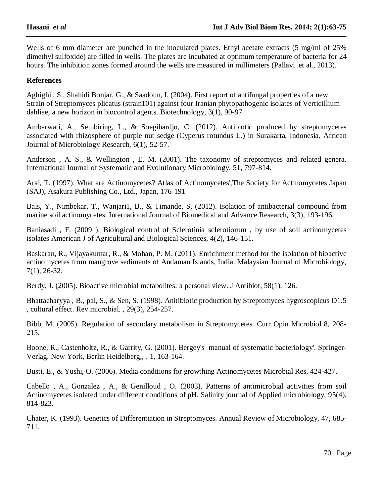Wells of 6 mm diameter are punched in the inoculated plates. Ethyl acetate extracts (5 mg/ml of 25%) dimethyl sulfoxide) are filled in wells. The plates are incubated at optimum temperature of bacteria for 24 hours. The inhibition zones formed around the wells are measured in millimeters (Pallavi et al., 2013).

#### **References**

Aghighi , S., Shahidi Bonjar, G., & Saadoun, I. (2004). First report of antifungal properties of a new Strain of Streptomyces plicatus (strain101) against four Iranian phytopathogenic isolates of Verticillium dahliae, a new horizon in biocontrol agents. Biotechnology, 3(1), 90-97.

Ambarwati, A., Sembiring, L., & Soegihardjo, C. (2012). Antibiotic produced by streptomycetes associated with rhizosphere of purple nut sedge (Cyperus rotundus L.) in Surakarta, Indonesia. African Journal of Microbiology Research, 6(1), 52-57.

Anderson , A. S., & Wellington , E. M. (2001). The taxonomy of streptomyces and related genera. International Journal of Systematic and Evolutionary Microbiology, 51, 797-814.

Arai, T. (1997). What are Actinomycetes? Atlas of Actinomycetes',The Society for Actinomycetes Japan (SAJ), Asakura Publishing Co., Ltd., Japan, 176-191

Bais, Y., Nimbekar, T., Wanjari1, B., & Timande, S. (2012). Isolation of antibacterial compound from marine soil actinomycetes. International Journal of Biomedical and Advance Research, 3(3), 193-196.

Baniasadi , F. (2009 ). Biological control of Sclerotinia sclerotiorum , by use of soil actinomycetes isolates American J of Agricultural and Biological Sciences, 4(2), 146-151.

Baskaran, R., Vijayakumar, R., & Mohan, P. M. (2011). Enrichment method for the isolation of bioactive actinomycetes from mangrove sediments of Andaman Islands, India. Malaysian Journal of Microbiology, 7(1), 26-32.

Berdy, J. (2005). Bioactive microbial metabolites: a personal view. J Antibiot, 58(1), 126.

Bhattacharyya , B., pal, S., & Sen, S. (1998). Anitibiotic production by Streptomyces hygroscopicus D1.5 , cultural effect. Rev.microbial. , 29(3), 254-257.

Bibb, M. (2005). Regulation of secondary metabolism in Streptomycetes. Curr Opin Microbiol 8, 208- 215.

Boone, R., Castenholtz, R., & Garrity, G. (2001). Bergey's manual of systematic bacteriology'. Springer-Verlag. New York, Berlin Heidelberg,, . 1, 163-164.

Busti, E., & Yushi, O. (2006). Media conditions for growthing Actinomycetes Microbial Res, 424-427.

Cabello , A., Gonzalez , A., & Genilloud , O. (2003). Patterns of antimicrobial activities from soil Actinomycetes isolated under different conditions of pH. Salinity journal of Applied microbiology, 95(4), 814-823.

Chater, K. (1993). Genetics of Differentiation in Streptomyces. Annual Review of Microbiology, 47, 685- 711.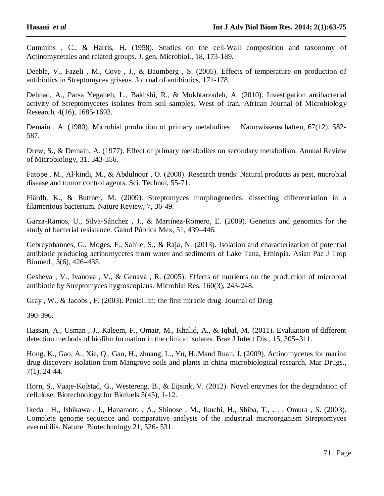Cummins , C., & Harris, H. (1958). Studies on the cell-Wall composition and taxonomy of Actinomycetales and related groups. J. gen. Microbiol., 18, 173-189.

Deeble, V., Fazeli , M., Cove , J., & Baumberg , S. (2005). Effects of temperature on production of antibiotics in Streptomyces griseus. Journal of antibiotics, 171-178.

Dehnad, A., Parsa Yeganeh, L., Bakhshi, R., & Mokhtarzadeh, A. (2010). Investigation antibacterial activity of Streptomycetes isolates from soil samples, West of Iran. African Journal of Microbiology Research, 4(16), 1685-1693.

Demain, A. (1980). Microbial production of primary metabolites Naturwissenschaften, 67(12), 582-587.

Drew, S., & Demain, A. (1977). Effect of primary metabolites on secondary metabolism. Annual Review of Microbiology, 31, 343-356.

Fatope , M., Al-kindi, M., & Abdulnour , O. (2000). Research trends: Natural products as pest, microbial disease and tumor control agents. Sci. Technol, 55-71.

Flärdh, K., & Buttner, M. (2009). Streptomyces morphogenetics: dissecting differentiation in a filamentous bacterium. Nature Review, 7, 36-49.

Garza-Ramos, U., Silva-Sánchez , J., & Martínez-Romero, E. (2009). Genetics and genomics for the study of bacterial resistance. Galud Pública Mex, 51, 439–446.

Gebreyohannes, G., Moges, F., Sahile, S., & Raja, N. (2013). Isolation and characterization of potential antibiotic producing actinomycetes from water and sediments of Lake Tana, Ethiopia. Asian Pac J Trop Biomed., 3(6), 426–435.

Gesheva , V., Ivanova , V., & Genava , R. (2005). Effects of nutrients on the production of microbial antibiotic by Streptomyces hygroscopicus. Microbial Res, 160(3), 243-248.

Gray , W., & Jacobs , F. (2003). Penicillin: the first miracle drug. Journal of Drug

390-396.

Hassan, A., Usman , J., Kaleem, F., Omair, M., Khalid, A., & Iqbal, M. (2011). Evaluation of different detection methods of biofilm formation in the clinical isolates. Braz J Infect Dis., 15, 305–311.

Hong, K., Gao, A., Xie, Q., Gao, H., zhuang, L., Yu, H.,Mand Ruan, J. (2009). Actinomycetes for marine drug discovery isolation from Mangrove soils and plants in china microbiological research. Mar Drugs., 7(1), 24-44.

Horn, S., Vaaje-Kolstad, G., Westereng, B., & Eijsink, V. (2012). Novel enzymes for the degradation of cellulose. Biotechnology for Biofuels 5(45), 1-12.

Ikeda , H., Ishikawa , J., Hanamoto , A., Shinose , M., Ikuchi, H., Shiba, T., . . . Omura , S. (2003). Complete genome sequence and comparative analysis of the industrial microorganism Streptomyces avermitilis. Nature Biotechnology 21, 526- 531.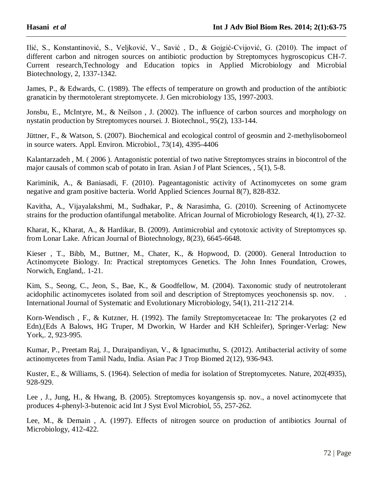Ilić, S., Konstantinović, S., Veljković, V., Savić , D., & Gojgić-Cvijović, G. (2010). The impact of different carbon and nitrogen sources on antibiotic production by Streptomyces hygroscopicus CH-7. Current research,Technology and Education topics in Applied Microbiology and Microbial Biotechnology, 2, 1337-1342.

James, P., & Edwards, C. (1989). The effects of temperature on growth and production of the antibiotic granaticin by thermotolerant streptomycete. J. Gen microbiology 135, 1997-2003.

Jonsbu, E., McIntyre, M., & Neilson , J. (2002). The influence of carbon sources and morphology on nystatin production by Streptomyces noursei. J. Biotechnol., 95(2), 133-144.

Jüttner, F., & Watson, S. (2007). Biochemical and ecological control of geosmin and 2-methylisoborneol in source waters. Appl. Environ. Microbiol., 73(14), 4395-4406

Kalantarzadeh , M. ( 2006 ). Antagonistic potential of two native Streptomyces strains in biocontrol of the major causals of common scab of potato in Iran. Asian J of Plant Sciences, , 5(1), 5-8.

Kariminik, A., & Baniasadi, F. (2010). Pageantagonistic activity of Actinomycetes on some gram negative and gram positive bacteria. World Applied Sciences Journal 8(7), 828-832.

Kavitha, A., Vijayalakshmi, M., Sudhakar, P., & Narasimha, G. (2010). Screening of Actinomycete strains for the production ofantifungal metabolite. African Journal of Microbiology Research, 4(1), 27-32.

Kharat, K., Kharat, A., & Hardikar, B. (2009). Antimicrobial and cytotoxic activity of Streptomyces sp. from Lonar Lake. African Journal of Biotechnology, 8(23), 6645-6648.

Kieser , T., Bibb, M., Buttner, M., Chater, K., & Hopwood, D. (2000). General Introduction to Actinomycete Biology. In: Practical streptomyces Genetics. The John Innes Foundation, Crowes, Norwich, England,. 1-21.

Kim, S., Seong, C., Jeon, S., Bae, K., & Goodfellow, M. (2004). Taxonomic study of neutrotolerant acidophilic actinomycetes isolated from soil and description of Streptomyces yeochonensis sp. nov. . International Journal of Systematic and Evolutionary Microbiology, 54(1), 211-212`214.

Korn-Wendisch , F., & Kutzner, H. (1992). The family Streptomycetaceae In: 'The prokaryotes (2 ed Edn),(Eds A Balows, HG Truper, M Dworkin, W Harder and KH Schleifer), Springer-Verlag: New York,. 2, 923-995.

Kumar, P., Preetam Raj, J., Duraipandiyan, V., & Ignacimuthu, S. (2012). Antibacterial activity of some actinomycetes from Tamil Nadu, India. Asian Pac J Trop Biomed 2(12), 936-943.

Kuster, E., & Williams, S. (1964). Selection of media for isolation of Streptomycetes. Nature, 202(4935), 928-929.

Lee , J., Jung, H., & Hwang, B. (2005). Streptomyces koyangensis sp. nov., a novel actinomycete that produces 4-phenyl-3-butenoic acid Int J Syst Evol Microbiol, 55, 257-262.

Lee, M., & Demain , A. (1997). Effects of nitrogen source on production of antibiotics Journal of Microbiology, 412-422.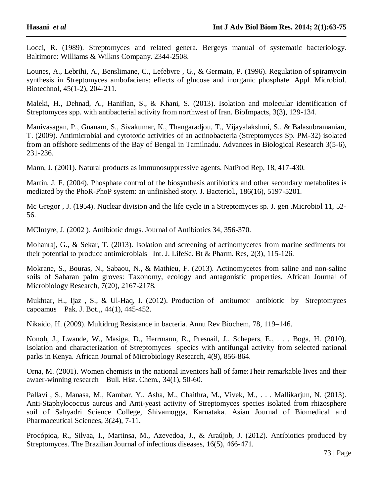Locci, R. (1989). Streptomyces and related genera. Bergeys manual of systematic bacteriology. Baltimore: Williams & Wilkns Company. 2344-2508.

Lounes, A., Lebrihi, A., Benslimane, C., Lefebvre , G., & Germain, P. (1996). Regulation of spiramycin synthesis in Streptomyces ambofaciens: effects of glucose and inorganic phosphate. Appl. Microbiol. Biotechnol, 45(1-2), 204-211.

Maleki, H., Dehnad, A., Hanifian, S., & Khani, S. (2013). Isolation and molecular identification of Streptomyces spp. with antibacterial activity from northwest of Iran. BioImpacts, 3(3), 129-134.

Manivasagan, P., Gnanam, S., Sivakumar, K., Thangaradjou, T., Vijayalakshmi, S., & Balasubramanian, T. (2009). Antimicrobial and cytotoxic activities of an actinobacteria (Streptomyces Sp. PM-32) isolated from an offshore sediments of the Bay of Bengal in Tamilnadu. Advances in Biological Research 3(5-6), 231-236.

Mann, J. (2001). Natural products as immunosuppressive agents. NatProd Rep, 18, 417-430.

Martin, J. F. (2004). Phosphate control of the biosynthesis antibiotics and other secondary metabolites is mediated by the PhoR-PhoP system: an unfinished story. J. Bacteriol., 186(16), 5197-5201.

Mc Gregor , J. (1954). Nuclear division and the life cycle in a Streptomyces sp. J. gen .Microbiol 11, 52- 56.

MCIntyre, J. (2002 ). Antibiotic drugs. Journal of Antibiotics 34, 356-370.

Mohanraj, G., & Sekar, T. (2013). Isolation and screening of actinomycetes from marine sediments for their potential to produce antimicrobials Int. J. LifeSc. Bt & Pharm. Res, 2(3), 115-126.

Mokrane, S., Bouras, N., Sabaou, N., & Mathieu, F. (2013). Actinomycetes from saline and non-saline soils of Saharan palm groves: Taxonomy, ecology and antagonistic properties. African Journal of Microbiology Research, 7(20), 2167-2178.

Mukhtar, H., Ijaz , S., & Ul-Haq, I. (2012). Production of antitumor antibiotic by Streptomyces capoamus Pak. J. Bot.,, 44(1), 445-452.

Nikaido, H. (2009). Multidrug Resistance in bacteria. Annu Rev Biochem, 78, 119–146.

Nonoh, J., Lwande, W., Masiga, D., Herrmann, R., Presnail, J., Schepers, E., . . . Boga, H. (2010). Isolation and characterization of Streptomyces species with antifungal activity from selected national parks in Kenya. African Journal of Microbiology Research, 4(9), 856-864.

Orna, M. (2001). Women chemists in the national inventors hall of fame:Their remarkable lives and their awaer-winning research Bull. Hist. Chem., 34(1), 50-60.

Pallavi , S., Manasa, M., Kambar, Y., Asha, M., Chaithra, M., Vivek, M., . . . Mallikarjun, N. (2013). Anti-Staphylococcus aureus and Anti-yeast activity of Streptomyces species isolated from rhizosphere soil of Sahyadri Science College, Shivamogga, Karnataka. Asian Journal of Biomedical and Pharmaceutical Sciences, 3(24), 7-11.

Procópioa, R., Silvaa, I., Martinsa, M., Azevedoa, J., & Araújob, J. (2012). Antibiotics produced by Streptomyces. The Brazilian Journal of infectious diseases, 16(5), 466-471.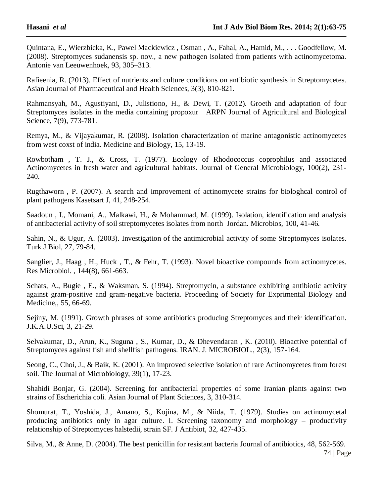Quintana, E., Wierzbicka, K., Pawel Mackiewicz , Osman , A., Fahal, A., Hamid, M., . . . Goodfellow, M. (2008). Streptomyces sudanensis sp. nov., a new pathogen isolated from patients with actinomycetoma. Antonie van Leeuwenhoek, 93, 305–313.

Rafieenia, R. (2013). Effect of nutrients and culture conditions on antibiotic synthesis in Streptomycetes. Asian Journal of Pharmaceutical and Health Sciences, 3(3), 810-821.

Rahmansyah, M., Agustiyani, D., Julistiono, H., & Dewi, T. (2012). Groeth and adaptation of four Streptomyces isolates in the media containing propoxur ARPN Journal of Agricultural and Biological Science, 7(9), 773-781.

Remya, M., & Vijayakumar, R. (2008). Isolation characterization of marine antagonistic actinomycetes from west coxst of india. Medicine and Biology, 15, 13-19.

Rowbotham , T. J., & Cross, T. (1977). Ecology of Rhodococcus coprophilus and associated Actinomycetes in fresh water and agricultural habitats. Journal of General Microbiology, 100(2), 231- 240.

Rugthaworn , P. (2007). A search and improvement of actinomycete strains for biologhcal control of plant pathogens Kasetsart J, 41, 248-254.

Saadoun , I., Momani, A., Malkawi, H., & Mohammad, M. (1999). Isolation, identification and analysis of antibacterial activity of soil streptomycetes isolates from north Jordan. Microbios, 100, 41-46.

Sahin, N., & Ugur, A. (2003). Investigation of the antimicrobial activity of some Streptomyces isolates. Turk J Biol, 27, 79-84.

Sanglier, J., Haag , H., Huck , T., & Fehr, T. (1993). Novel bioactive compounds from actinomycetes. Res Microbiol. , 144(8), 661-663.

Schats, A., Bugie , E., & Waksman, S. (1994). Streptomycin, a substance exhibiting antibiotic activity against gram-positive and gram-negative bacteria. Proceeding of Society for Exprimental Biology and Medicine,, 55, 66-69.

Sejiny, M. (1991). Growth phrases of some antibiotics producing Streptomyces and their identification. J.K.A.U.Sci, 3, 21-29.

Selvakumar, D., Arun, K., Suguna , S., Kumar, D., & Dhevendaran , K. (2010). Bioactive potential of Streptomyces against fish and shellfish pathogens. IRAN. J. MICROBIOL., 2(3), 157-164.

Seong, C., Choi, J., & Baik, K. (2001). An improved selective isolation of rare Actinomycetes from forest soil. The Journal of Microbiology, 39(1), 17-23.

Shahidi Bonjar, G. (2004). Screening for antibacterial properties of some Iranian plants against two strains of Escherichia coli. Asian Journal of Plant Sciences, 3, 310-314.

Shomurat, T., Yoshida, J., Amano, S., Kojina, M., & Niida, T. (1979). Studies on actinomycetal producing antibiotics only in agar culture. I. Screening taxonomy and morphology – productivity relationship of Streptomyces halstedii, strain SF. J Antibiot, 32, 427-435.

74 | Page Silva, M., & Anne, D. (2004). The best penicillin for resistant bacteria Journal of antibiotics, 48, 562-569.